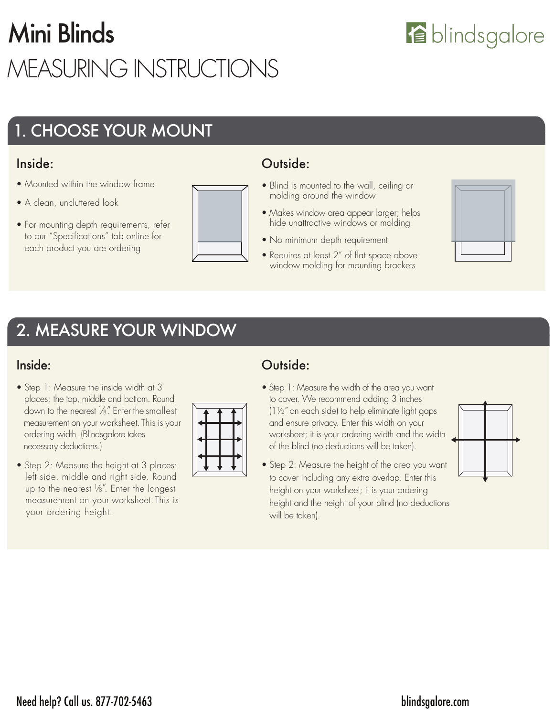# Mini Blinds MEASURING INSTRUCTIONS

## 1. CHOOSE YOUR MOUNT

#### Inside:

- Mounted within the window frame
- A clean, uncluttered look
- For mounting depth requirements, refer to our "Specifications" tab online for each product you are ordering



#### Outside:

- Blind is mounted to the wall, ceiling or molding around the window
- Makes window area appear larger; helps hide unattractive windows or molding
- No minimum depth requirement
- Requires at least 2" of flat space above window molding for mounting brackets



### 2. MEASURE YOUR WINDOW

#### Inside:

- Step 1: Measure the inside width at 3 places: the top, middle and bottom. Round down to the nearest  $\frac{1}{8}$ . Enter the smallest measurement on your worksheet. This is your ordering width. (Blindsgalore takes necessary deductions.)
- Step 2: Measure the height at 3 places: left side, middle and right side. Round up to the nearest  $\frac{1}{8}$ ". Enter the longest measurement on your worksheet. This is your ordering height.



#### Outside:

- Step 1: Measure the width of the area you want to cover. We recommend adding 3 inches (1½" on each side) to help eliminate light gaps and ensure privacy. Enter this width on your worksheet; it is your ordering width and the width of the blind (no deductions will be taken).
- Step 2: Measure the height of the area you want to cover including any extra overlap. Enter this height on your worksheet; it is your ordering height and the height of your blind (no deductions will be taken).